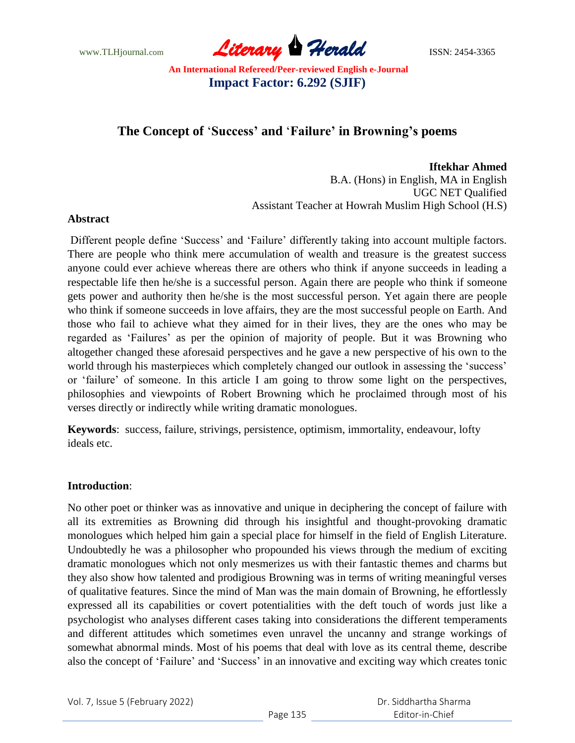www.TLHjournal.com **Literary Herald Herald ISSN: 2454-3365** 

# **The Concept of** '**Success' and** '**Failure' in Browning's poems**

**Iftekhar Ahmed**  B.A. (Hons) in English, MA in English UGC NET Qualified Assistant Teacher at Howrah Muslim High School (H.S)

### **Abstract**

Different people define 'Success' and 'Failure' differently taking into account multiple factors. There are people who think mere accumulation of wealth and treasure is the greatest success anyone could ever achieve whereas there are others who think if anyone succeeds in leading a respectable life then he/she is a successful person. Again there are people who think if someone gets power and authority then he/she is the most successful person. Yet again there are people who think if someone succeeds in love affairs, they are the most successful people on Earth. And those who fail to achieve what they aimed for in their lives, they are the ones who may be regarded as 'Failures' as per the opinion of majority of people. But it was Browning who altogether changed these aforesaid perspectives and he gave a new perspective of his own to the world through his masterpieces which completely changed our outlook in assessing the 'success' or 'failure' of someone. In this article I am going to throw some light on the perspectives, philosophies and viewpoints of Robert Browning which he proclaimed through most of his verses directly or indirectly while writing dramatic monologues.

**Keywords**: success, failure, strivings, persistence, optimism, immortality, endeavour, lofty ideals etc.

#### **Introduction**:

No other poet or thinker was as innovative and unique in deciphering the concept of failure with all its extremities as Browning did through his insightful and thought-provoking dramatic monologues which helped him gain a special place for himself in the field of English Literature. Undoubtedly he was a philosopher who propounded his views through the medium of exciting dramatic monologues which not only mesmerizes us with their fantastic themes and charms but they also show how talented and prodigious Browning was in terms of writing meaningful verses of qualitative features. Since the mind of Man was the main domain of Browning, he effortlessly expressed all its capabilities or covert potentialities with the deft touch of words just like a psychologist who analyses different cases taking into considerations the different temperaments and different attitudes which sometimes even unravel the uncanny and strange workings of somewhat abnormal minds. Most of his poems that deal with love as its central theme, describe also the concept of 'Failure' and 'Success' in an innovative and exciting way which creates tonic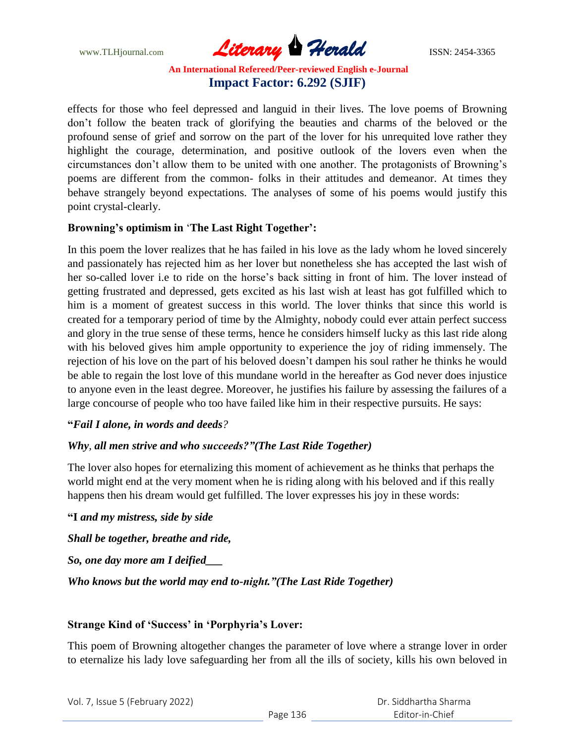www.TLHjournal.com *Literary Herald*ISSN: 2454-3365

effects for those who feel depressed and languid in their lives. The love poems of Browning don't follow the beaten track of glorifying the beauties and charms of the beloved or the profound sense of grief and sorrow on the part of the lover for his unrequited love rather they highlight the courage, determination, and positive outlook of the lovers even when the circumstances don't allow them to be united with one another. The protagonists of Browning's poems are different from the common- folks in their attitudes and demeanor. At times they behave strangely beyond expectations. The analyses of some of his poems would justify this point crystal-clearly.

## **Browning's optimism in** '**The Last Right Together':**

In this poem the lover realizes that he has failed in his love as the lady whom he loved sincerely and passionately has rejected him as her lover but nonetheless she has accepted the last wish of her so-called lover i.e to ride on the horse's back sitting in front of him. The lover instead of getting frustrated and depressed, gets excited as his last wish at least has got fulfilled which to him is a moment of greatest success in this world. The lover thinks that since this world is created for a temporary period of time by the Almighty, nobody could ever attain perfect success and glory in the true sense of these terms, hence he considers himself lucky as this last ride along with his beloved gives him ample opportunity to experience the joy of riding immensely. The rejection of his love on the part of his beloved doesn't dampen his soul rather he thinks he would be able to regain the lost love of this mundane world in the hereafter as God never does injustice to anyone even in the least degree. Moreover, he justifies his failure by assessing the failures of a large concourse of people who too have failed like him in their respective pursuits. He says:

#### **"***Fail I alone, in words and deeds?*

## *Why, all men strive and who succeeds?"(The Last Ride Together)*

The lover also hopes for eternalizing this moment of achievement as he thinks that perhaps the world might end at the very moment when he is riding along with his beloved and if this really happens then his dream would get fulfilled. The lover expresses his joy in these words:

#### **"I** *and my mistress, side by side*

*Shall be together, breathe and ride,*

*So, one day more am I deified\_\_\_*

*Who knows but the world may end to-night."(The Last Ride Together)*

## **Strange Kind of 'Success' in 'Porphyria's Lover:**

This poem of Browning altogether changes the parameter of love where a strange lover in order to eternalize his lady love safeguarding her from all the ills of society, kills his own beloved in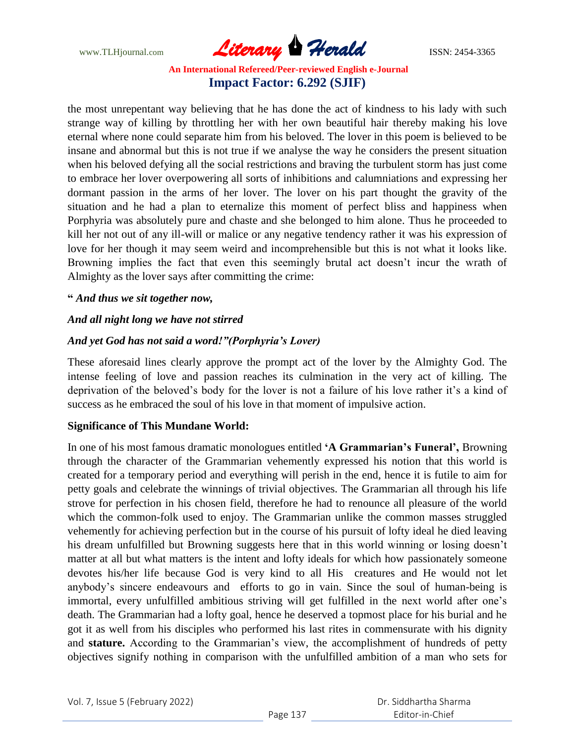www.TLHjournal.com **Literary Herald Herald ISSN: 2454-3365** 

the most unrepentant way believing that he has done the act of kindness to his lady with such strange way of killing by throttling her with her own beautiful hair thereby making his love eternal where none could separate him from his beloved. The lover in this poem is believed to be insane and abnormal but this is not true if we analyse the way he considers the present situation when his beloved defying all the social restrictions and braving the turbulent storm has just come to embrace her lover overpowering all sorts of inhibitions and calumniations and expressing her dormant passion in the arms of her lover. The lover on his part thought the gravity of the situation and he had a plan to eternalize this moment of perfect bliss and happiness when Porphyria was absolutely pure and chaste and she belonged to him alone. Thus he proceeded to kill her not out of any ill-will or malice or any negative tendency rather it was his expression of love for her though it may seem weird and incomprehensible but this is not what it looks like. Browning implies the fact that even this seemingly brutal act doesn't incur the wrath of Almighty as the lover says after committing the crime:

### **"** *And thus we sit together now,*

## *And all night long we have not stirred*

## *And yet God has not said a word!"(Porphyria's Lover)*

These aforesaid lines clearly approve the prompt act of the lover by the Almighty God. The intense feeling of love and passion reaches its culmination in the very act of killing. The deprivation of the beloved's body for the lover is not a failure of his love rather it's a kind of success as he embraced the soul of his love in that moment of impulsive action.

#### **Significance of This Mundane World:**

In one of his most famous dramatic monologues entitled **'A Grammarian's Funeral',** Browning through the character of the Grammarian vehemently expressed his notion that this world is created for a temporary period and everything will perish in the end, hence it is futile to aim for petty goals and celebrate the winnings of trivial objectives. The Grammarian all through his life strove for perfection in his chosen field, therefore he had to renounce all pleasure of the world which the common-folk used to enjoy. The Grammarian unlike the common masses struggled vehemently for achieving perfection but in the course of his pursuit of lofty ideal he died leaving his dream unfulfilled but Browning suggests here that in this world winning or losing doesn't matter at all but what matters is the intent and lofty ideals for which how passionately someone devotes his/her life because God is very kind to all His creatures and He would not let anybody's sincere endeavours and efforts to go in vain. Since the soul of human-being is immortal, every unfulfilled ambitious striving will get fulfilled in the next world after one's death. The Grammarian had a lofty goal, hence he deserved a topmost place for his burial and he got it as well from his disciples who performed his last rites in commensurate with his dignity and **stature.** According to the Grammarian's view, the accomplishment of hundreds of petty objectives signify nothing in comparison with the unfulfilled ambition of a man who sets for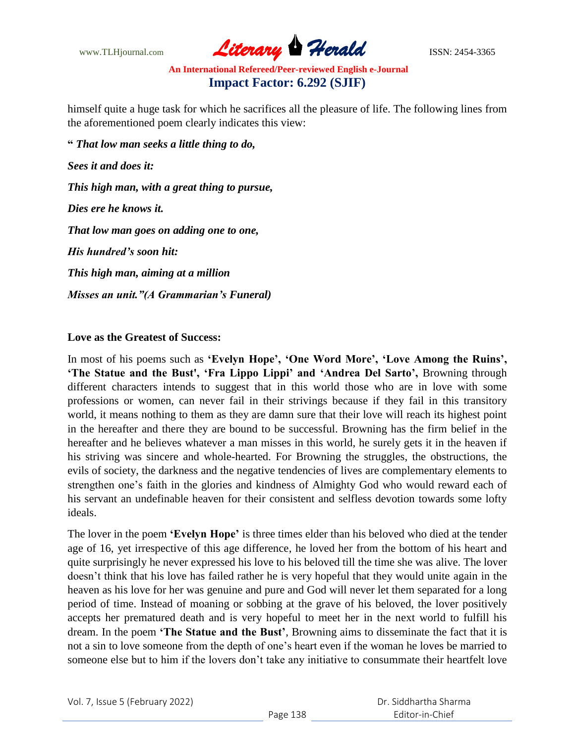www.TLHjournal.com **Literary Herald Herald ISSN: 2454-3365** 

himself quite a huge task for which he sacrifices all the pleasure of life. The following lines from the aforementioned poem clearly indicates this view:

**"** *That low man seeks a little thing to do, Sees it and does it: This high man, with a great thing to pursue, Dies ere he knows it. That low man goes on adding one to one, His hundred's soon hit: This high man, aiming at a million Misses an unit."(A Grammarian's Funeral)*

## **Love as the Greatest of Success:**

In most of his poems such as **'Evelyn Hope', 'One Word More', 'Love Among the Ruins', 'The Statue and the Bust', 'Fra Lippo Lippi' and 'Andrea Del Sarto',** Browning through different characters intends to suggest that in this world those who are in love with some professions or women, can never fail in their strivings because if they fail in this transitory world, it means nothing to them as they are damn sure that their love will reach its highest point in the hereafter and there they are bound to be successful. Browning has the firm belief in the hereafter and he believes whatever a man misses in this world, he surely gets it in the heaven if his striving was sincere and whole-hearted. For Browning the struggles, the obstructions, the evils of society, the darkness and the negative tendencies of lives are complementary elements to strengthen one's faith in the glories and kindness of Almighty God who would reward each of his servant an undefinable heaven for their consistent and selfless devotion towards some lofty ideals.

The lover in the poem **'Evelyn Hope'** is three times elder than his beloved who died at the tender age of 16, yet irrespective of this age difference, he loved her from the bottom of his heart and quite surprisingly he never expressed his love to his beloved till the time she was alive. The lover doesn't think that his love has failed rather he is very hopeful that they would unite again in the heaven as his love for her was genuine and pure and God will never let them separated for a long period of time. Instead of moaning or sobbing at the grave of his beloved, the lover positively accepts her prematured death and is very hopeful to meet her in the next world to fulfill his dream. In the poem **'The Statue and the Bust'**, Browning aims to disseminate the fact that it is not a sin to love someone from the depth of one's heart even if the woman he loves be married to someone else but to him if the lovers don't take any initiative to consummate their heartfelt love